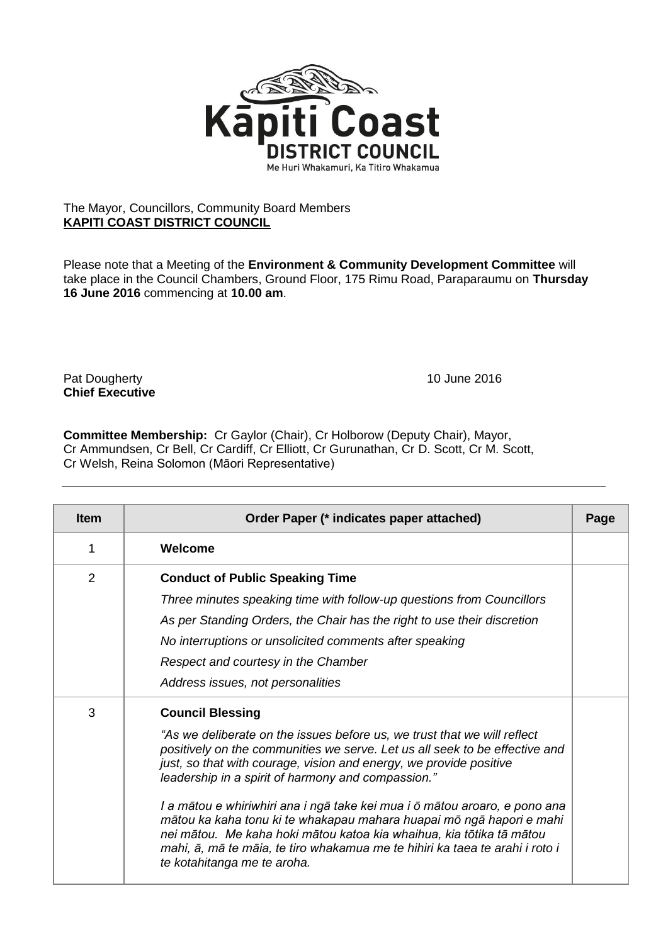

## The Mayor, Councillors, Community Board Members **KAPITI COAST DISTRICT COUNCIL**

Please note that a Meeting of the **Environment & Community Development Committee** will take place in the Council Chambers, Ground Floor, 175 Rimu Road, Paraparaumu on **Thursday 16 June 2016** commencing at **10.00 am**.

Pat Dougherty **10 June 2016 Chief Executive**

**Committee Membership:** Cr Gaylor (Chair), Cr Holborow (Deputy Chair), Mayor, Cr Ammundsen, Cr Bell, Cr Cardiff, Cr Elliott, Cr Gurunathan, Cr D. Scott, Cr M. Scott, Cr Welsh, Reina Solomon (Māori Representative)

| <b>Item</b> | Order Paper (* indicates paper attached)                                                                                                                                                                                                                                                                                                                                                                                                                                                                                                                                                                                                                    | Page |
|-------------|-------------------------------------------------------------------------------------------------------------------------------------------------------------------------------------------------------------------------------------------------------------------------------------------------------------------------------------------------------------------------------------------------------------------------------------------------------------------------------------------------------------------------------------------------------------------------------------------------------------------------------------------------------------|------|
| 1           | Welcome                                                                                                                                                                                                                                                                                                                                                                                                                                                                                                                                                                                                                                                     |      |
| 2           | <b>Conduct of Public Speaking Time</b><br>Three minutes speaking time with follow-up questions from Councillors<br>As per Standing Orders, the Chair has the right to use their discretion<br>No interruptions or unsolicited comments after speaking<br>Respect and courtesy in the Chamber<br>Address issues, not personalities                                                                                                                                                                                                                                                                                                                           |      |
| 3           | <b>Council Blessing</b><br>"As we deliberate on the issues before us, we trust that we will reflect<br>positively on the communities we serve. Let us all seek to be effective and<br>just, so that with courage, vision and energy, we provide positive<br>leadership in a spirit of harmony and compassion."<br>I a mātou e whiriwhiri ana i ngā take kei mua i ō mātou aroaro, e pono ana<br>mātou ka kaha tonu ki te whakapau mahara huapai mō ngā hapori e mahi<br>nei mātou. Me kaha hoki mātou katoa kia whaihua, kia tōtika tā mātou<br>mahi, ā, mā te māia, te tiro whakamua me te hihiri ka taea te arahi i roto i<br>te kotahitanga me te aroha. |      |